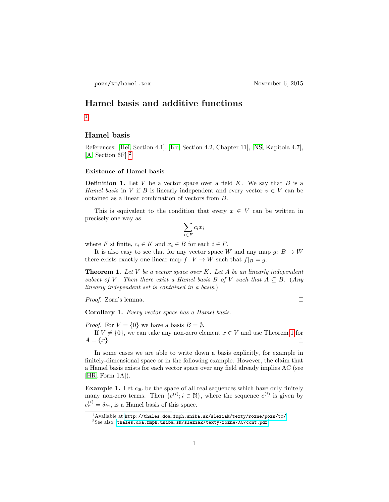# Hamel basis and additive functions

[1](#page-0-0)

### Hamel basis

References: [\[Hei,](#page-5-0) Section 4.1], [\[Ku,](#page-5-1) Section 4.2, Chapter 11], [\[NS,](#page-6-0) Kapitola 4.7], [\[A,](#page-5-2) Section 6F] [2](#page-0-1)

## Existence of Hamel basis

**Definition 1.** Let  $V$  be a vector space over a field  $K$ . We say that  $B$  is a Hamel basis in V if B is linearly independent and every vector  $v \in V$  can be obtained as a linear combination of vectors from B.

This is equivalent to the condition that every  $x \in V$  can be written in precisely one way as

$$
\sum_{i \in F} c_i x_i
$$

where F si finite,  $c_i \in K$  and  $x_i \in B$  for each  $i \in F$ .

It is also easy to see that for any vector space W and any map  $g: B \to W$ there exists exactly one linear map  $f: V \to W$  such that  $f|_B = g$ .

<span id="page-0-2"></span>**Theorem 1.** Let  $V$  be a vector space over  $K$ . Let  $A$  be an linearly independent subset of V. Then there exist a Hamel basis B of V such that  $A \subseteq B$ . (Any linearly independent set is contained in a basis.)

Proof. Zorn's lemma.

 $\Box$ 

Corollary 1. Every vector space has a Hamel basis.

*Proof.* For  $V = \{0\}$  we have a basis  $B = \emptyset$ .

If  $V \neq \{0\}$ , we can take any non-zero element  $x \in V$  and use Theorem [1](#page-0-2) for  $A = \{x\}.$  $\Box$ 

In some cases we are able to write down a basis explicitly, for example in finitely-dimensional space or in the following example. However, the claim that a Hamel basis exists for each vector space over any field already implies AC (see [\[HR,](#page-5-3) Form 1A]).

<span id="page-0-3"></span>**Example 1.** Let  $c_{00}$  be the space of all real sequences which have only finitely many non-zero terms. Then  ${e^{(i)}}; i \in \mathbb{N}$ , where the sequence  $e^{(i)}$  is given by  $e_n^{(i)} = \delta_{in}$ , is a Hamel basis of this space.

<span id="page-0-0"></span><sup>1</sup>Available at <http://thales.doa.fmph.uniba.sk/sleziak/texty/rozne/pozn/tm/>  ${}^{2}$ See also: <thales.doa.fmph.uniba.sk/sleziak/texty/rozne/AC/cont.pdf>

<span id="page-0-1"></span>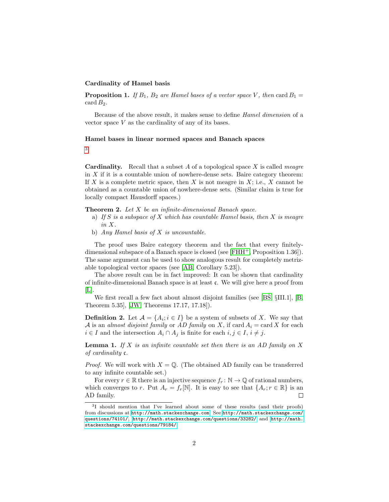#### Cardinality of Hamel basis

**Proposition 1.** If  $B_1$ ,  $B_2$  are Hamel bases of a vector space V, then card  $B_1 =$ card  $B_2$ .

Because of the above result, it makes sense to define Hamel dimension of a vector space  $V$  as the cardinality of any of its bases.

#### Hamel bases in linear normed spaces and Banach spaces

[3](#page-1-0)

**Cardinality.** Recall that a subset  $A$  of a topological space  $X$  is called *meagre* in  $X$  if it is a countable union of nowhere-dense sets. Baire category theorem: If X is a complete metric space, then X is not meagre in X; i.e., X cannot be obtained as a countable union of nowhere-dense sets. (Similar claim is true for locally compact Hausdorff spaces.)

**Theorem 2.** Let  $X$  be an infinite-dimensional Banach space.

- a) If S is a subspace of X which has countable Hamel basis, then X is meagre in X.
- b) Any Hamel basis of X is uncountable.

The proof uses Baire category theorem and the fact that every finitelydimensional subspace of a Banach space is closed (see [\[FHH](#page-5-4)+, Proposition 1.36]). The same argument can be used to show analogous result for completely metrizable topological vector spaces (see [\[AB,](#page-5-5) Corollary 5.23]).

The above result can be in fact improved: It can be shown that cardinality of infinite-dimensional Banach space is at least c. We will give here a proof from  $|L|$ .

We first recall a few fact about almost disjoint families (see [\[BS,](#page-5-7)  $\S$ III.1], [\[B,](#page-5-8) Theorem 5.35], [\[JW,](#page-5-9) Theorems 17.17, 17.18]).

**Definition 2.** Let  $\mathcal{A} = \{A_i; i \in I\}$  be a system of subsets of X. We say that A is an almost disjoint family or AD family on X, if card  $A_i = \text{card } X$  for each  $i \in I$  and the intersection  $A_i \cap A_j$  is finite for each  $i, j \in I$ ,  $i \neq j$ .

**Lemma 1.** If X is an infinite countable set then there is an AD family on X of cardinality  $\mathfrak{c}$ .

*Proof.* We will work with  $X = \mathbb{Q}$ . (The obtained AD family can be transferred to any infinite countable set.)

For every  $r \in \mathbb{R}$  there is an injective sequence  $f_r : \mathbb{N} \to \mathbb{Q}$  of rational numbers, which converges to r. Put  $A_r = f_r[\mathbb{N}]$ . It is easy to see that  $\{A_r : r \in \mathbb{R}\}\$ is an AD family.  $\Box$ 

<span id="page-1-0"></span><sup>3</sup> I should mention that I've learned about some of these results (and their proofs) from discussions at <http://math.stackexchange.com>. See [http://math.stackexchange.com/](http://math.stackexchange.com/questions/74101/) [questions/74101/](http://math.stackexchange.com/questions/74101/), <http://math.stackexchange.com/questions/33282/> and [http://math.](http://math.stackexchange.com/questions/79184/) [stackexchange.com/questions/79184/](http://math.stackexchange.com/questions/79184/).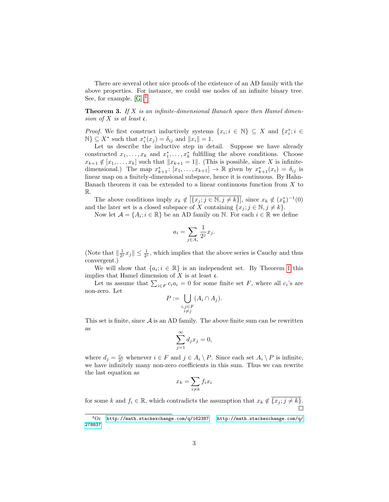There are several other nice proofs of the existence of an AD family with the above properties. For instance, we could use nodes of an infinite binary tree. See, for example, [\[G\]](#page-5-10).[4](#page-2-0)

**Theorem 3.** If  $X$  is an infinite-dimensional Banach space then Hamel dimension of  $X$  is at least  $\mathfrak{c}$ .

*Proof.* We first construct inductively systems  $\{x_i; i \in \mathbb{N}\}\subseteq X$  and  $\{x_i^*; i \in$  $\mathbb{N}\}\subseteq X^*$  such that  $x_i^*(x_j)=\delta_{ij}$  and  $||x_i||=1$ .

Let us describe the inductive step in detail. Suppose we have already constructed  $x_1, \ldots, x_k$  and  $x_1^*, \ldots, x_k^*$  fulfilling the above conditions. Choose  $x_{k+1} \notin [x_1, \ldots, x_k]$  such that  $||x_{k+1} = 1||$ . (This is possible, since X is infinitedimensional.) The map  $x_{k+1}^*$ :  $[x_1, \ldots, x_{k+1}] \to \mathbb{R}$  given by  $x_{k+1}^*(x_i) = \delta_{ij}$  is linear map on a finitely-dimensional subspace, hence it is continuous. By Hahn-Banach theorem it can be extended to a linear continuous function from X to R.

The above conditions imply  $x_k \notin \overline{[\{x_j : j \in \mathbb{N}, j \neq k\}]}$ , since  $x_k \notin (x_k^*)^{-1}(0)$ and the later set is a closed subspace of X containing  $\{x_j; j \in \mathbb{N}, j \neq k\}$ .

Now let  $\mathcal{A} = \{A_i; i \in \mathbb{R}\}$  be an AD family on N. For each  $i \in \mathbb{R}$  we define

$$
a_i = \sum_{j \in A_i} \frac{1}{2^j} x_j.
$$

(Note that  $\|\frac{1}{2^j}x_j\| \leq \frac{1}{2^j}$ , which implies that the above series is Cauchy and thus convergent.)

We will show that  $\{a_i; i \in \mathbb{R}\}$  is an independent set. By Theorem [1](#page-0-2) this implies that Hamel dimension of  $X$  is at least  $\mathfrak{c}$ .

Let us assume that  $\sum_{i \in F} c_i a_i = 0$  for some finite set F, where all  $c_i$ 's are non-zero. Let

$$
P := \bigcup_{\substack{i,j \in F \\ i \neq j}} (A_i \cap A_j).
$$

This set is finite, since  $A$  is an AD family. The above finite sum can be rewritten as

$$
\sum_{j=1}^{\infty} d_j x_j = 0,
$$

where  $d_j = \frac{c_i}{2^j}$  whenever  $i \in F$  and  $j \in A_i \setminus P$ . Since each set  $A_i \setminus P$  is infinite, we have infinitely many non-zero coefficients in this sum. Thus we can rewrite the last equation as

$$
x_k = \sum_{i \neq k} f_i x_i
$$

for some k and  $f_i \in \mathbb{R}$ , which contradicts the assumption that  $x_k \notin \overline{\{x_j; j \neq k\}}$ .

<span id="page-2-0"></span> ${}^{4}$ Or <http://math.stackexchange.com/q/162387>, [http://math.stackexchange.com/q/](http://math.stackexchange.com/q/278837) [278837](http://math.stackexchange.com/q/278837).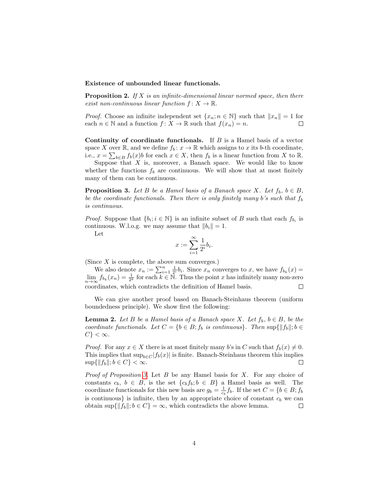#### Existence of unbounded linear functionals.

**Proposition 2.** If  $X$  is an infinite-dimensional linear normed space, then there exist non-continuous linear function  $f: X \to \mathbb{R}$ .

*Proof.* Choose an infinite independent set  $\{x_n; n \in \mathbb{N}\}\$  such that  $||x_n|| = 1$  for each  $n \in \mathbb{N}$  and a function  $f: X \to \mathbb{R}$  such that  $f(x_n) = n$ .  $\Box$ 

Continuity of coordinate functionals. If  $B$  is a Hamel basis of a vector space X over R, and we define  $f_b: x \to \mathbb{R}$  which assigns to x its b-th coordinate, i.e.,  $x = \sum_{b \in B} f_b(x)b$  for each  $x \in X$ , then  $f_b$  is a linear function from X to R.

Suppose that  $X$  is, moreover, a Banach space. We would like to know whether the functions  $f_b$  are continuous. We will show that at most finitely many of them can be continuous.

<span id="page-3-0"></span>**Proposition 3.** Let B be a Hamel basis of a Banach space X. Let  $f_b$ ,  $b \in B$ , be the coordinate functionals. Then there is only finitely many b's such that  $f<sub>b</sub>$ is continuous.

*Proof.* Suppose that  $\{b_i; i \in \mathbb{N}\}\$ is an infinite subset of B such that each  $f_{b_i}$  is continuous. W.l.o.g. we may assume that  $||b_i|| = 1$ .

Let

$$
x:=\sum_{i=1}^\infty \frac{1}{2^i}b_i.
$$

(Since  $X$  is complete, the above sum converges.)

We also denote  $x_n := \sum_{i=1}^n \frac{1}{2^i} b_i$ . Since  $x_n$  converges to  $x$ , we have  $f_{b_k}(x) =$  $\lim_{n\to\infty} f_{b_k}(x_n) = \frac{1}{2^k}$  for each  $k \in \mathbb{N}$ . Thus the point x has infinitely many non-zero coordinates, which contradicts the definition of Hamel basis.  $\Box$ 

We can give another proof based on Banach-Steinhaus theorem (uniform boundedness principle). We show first the following:

**Lemma 2.** Let B be a Hamel basis of a Banach space X. Let  $f_b$ ,  $b \in B$ , be the coordinate functionals. Let  $C = \{b \in B; f_b \text{ is continuous}\}\$ . Then  $\sup\{\|f_b\|; b \in$  $C\}<\infty$ .

*Proof.* For any  $x \in X$  there is at most finitely many b's in C such that  $f_b(x) \neq 0$ . This implies that  $\sup_{b \in C} |f_b(x)|$  is finite. Banach-Steinhaus theorem this implies  $\sup\{\|f_b\|; b \in C\} < \infty$ .  $\Box$ 

*Proof of Proposition [3.](#page-3-0)* Let  $B$  be any Hamel basis for  $X$ . For any choice of constants  $c_b$ ,  $b \in B$ , is the set  $\{c_b f_b; b \in B\}$  a Hamel basis as well. The coordinate functionals for this new basis are  $g_b = \frac{1}{c_b} f_b$ . If the set  $C = \{b \in B; f_b\}$ is continuous} is infinite, then by an appropriate choice of constant  $c<sub>b</sub>$  we can obtain sup $\{\Vert f_b \Vert; b \in C\} = \infty$ , which contradicts the above lemma.  $\Box$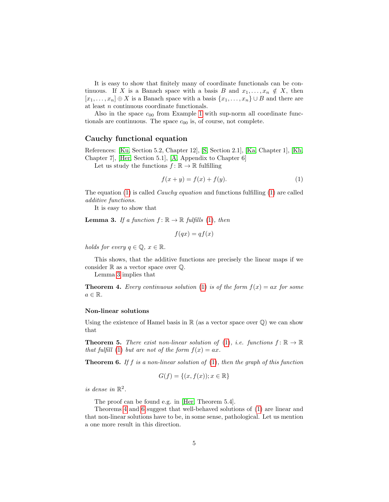It is easy to show that finitely many of coordinate functionals can be continuous. If X is a Banach space with a basis B and  $x_1, \ldots, x_n \notin X$ , then  $[x_1, \ldots, x_n] \oplus X$  is a Banach space with a basis  $\{x_1, \ldots, x_n\} \cup B$  and there are at least n continuous coordinate functionals.

Also in the space  $c_{00}$  from Example [1](#page-0-3) with sup-norm all coordinate functionals are continuous. The space  $c_{00}$  is, of course, not complete.

### Cauchy functional equation

References: [\[Ku,](#page-5-1) Section 5.2, Chapter 12], [\[S,](#page-6-1) Section 2.1], [\[Ka,](#page-5-11) Chapter 1], [\[Kh,](#page-5-12) Chapter 7], [\[Her,](#page-5-13) Section 5.1], [\[A,](#page-5-2) Appendix to Chapter 6]

Let us study the functions  $f: \mathbb{R} \to \mathbb{R}$  fulfilling

<span id="page-4-0"></span>
$$
f(x + y) = f(x) + f(y).
$$
 (1)

The equation [\(1\)](#page-4-0) is called *Cauchy equation* and functions fulfilling (1) are called additive functions.

It is easy to show that

<span id="page-4-1"></span>**Lemma 3.** If a function  $f: \mathbb{R} \to \mathbb{R}$  fulfills [\(1\)](#page-4-0), then

$$
f(qx) = qf(x)
$$

holds for every  $q \in \mathbb{Q}, x \in \mathbb{R}$ .

This shows, that the additive functions are precisely the linear maps if we consider  $\mathbb R$  as a vector space over  $\mathbb Q$ .

Lemma [3](#page-4-1) implies that

<span id="page-4-2"></span>**Theorem 4.** Every continuous solution [\(1\)](#page-4-0) is of the form  $f(x) = ax$  for some  $a \in \mathbb{R}$ .

#### Non-linear solutions

Using the existence of Hamel basis in  $\mathbb R$  (as a vector space over  $\mathbb Q$ ) we can show that

**Theorem 5.** There exist non-linear solution of [\(1\)](#page-4-0), i.e. functions  $f: \mathbb{R} \to \mathbb{R}$ that fulfill [\(1\)](#page-4-0) but are not of the form  $f(x) = ax$ .

<span id="page-4-3"></span>**Theorem 6.** If f is a non-linear solution of  $(1)$ , then the graph of this function

$$
G(f) = \{(x, f(x)); x \in \mathbb{R}\}\
$$

is dense in  $\mathbb{R}^2$ .

The proof can be found e.g. in [\[Her,](#page-5-13) Theorem 5.4].

Theorems [4](#page-4-2) and [6](#page-4-3) suggest that well-behaved solutions of [\(1\)](#page-4-0) are linear and that non-linear solutions have to be, in some sense, pathological. Let us mention a one more result in this direction.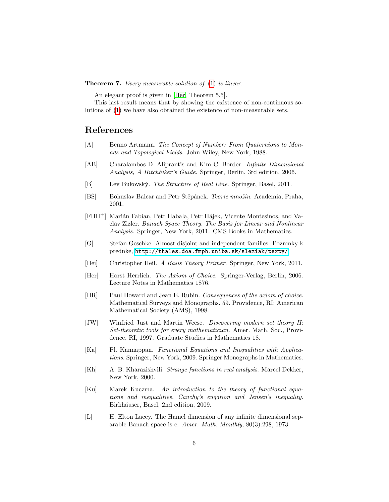**Theorem 7.** Every measurable solution of  $(1)$  is linear.

An elegant proof is given in [\[Her,](#page-5-13) Theorem 5.5].

This last result means that by showing the existence of non-continuous solutions of [\(1\)](#page-4-0) we have also obtained the existence of non-measurable sets.

# References

- <span id="page-5-2"></span>[A] Benno Artmann. The Concept of Number: From Quaternions to Monads and Topological Fields. John Wiley, New York, 1988.
- <span id="page-5-5"></span>[AB] Charalambos D. Aliprantis and Kim C. Border. Infinite Dimensional Analysis, A Hitchhiker's Guide. Springer, Berlin, 3rd edition, 2006.
- <span id="page-5-8"></span>[B] Lev Bukovský. The Structure of Real Line. Springer, Basel, 2011.
- <span id="page-5-7"></span>[BŠ] Bohuslav Balcar and Petr Štěpánek. Teorie množin. Academia, Praha, 2001.
- <span id="page-5-4"></span>[FHH<sup>+</sup>] Marián Fabian, Petr Habala, Petr Hájek, Vicente Montesinos, and Vaclav Zizler. Banach Space Theory. The Basis for Linear and Nonlinear Analysis. Springer, New York, 2011. CMS Books in Mathematics.
- <span id="page-5-10"></span>[G] Stefan Geschke. Almost disjoint and independent families. Poznmky k prednke, <http://thales.doa.fmph.uniba.sk/sleziak/texty/>.
- <span id="page-5-0"></span>[Hei] Christopher Heil. A Basis Theory Primer. Springer, New York, 2011.
- <span id="page-5-13"></span>[Her] Horst Herrlich. The Axiom of Choice. Springer-Verlag, Berlin, 2006. Lecture Notes in Mathematics 1876.
- <span id="page-5-3"></span>[HR] Paul Howard and Jean E. Rubin. Consequences of the axiom of choice. Mathematical Surveys and Monographs. 59. Providence, RI: American Mathematical Society (AMS), 1998.
- <span id="page-5-9"></span>[JW] Winfried Just and Martin Weese. Discovering modern set theory II: Set-theoretic tools for every mathematician. Amer. Math. Soc., Providence, RI, 1997. Graduate Studies in Mathematics 18.
- <span id="page-5-11"></span>[Ka] Pl. Kannappan. Functional Equations and Inequalities with Applications. Springer, New York, 2009. Springer Monographs in Mathematics.
- <span id="page-5-12"></span>[Kh] A. B. Kharazishvili. Strange functions in real analysis. Marcel Dekker, New York, 2000.
- <span id="page-5-1"></span>[Ku] Marek Kuczma. An introduction to the theory of functional equations and inequalities. Cauchy's euqation and Jensen's inequality. Birkhäuser, Basel, 2nd edition, 2009.
- <span id="page-5-6"></span>[L] H. Elton Lacey. The Hamel dimension of any infinite dimensional separable Banach space is c. Amer. Math. Monthly, 80(3):298, 1973.